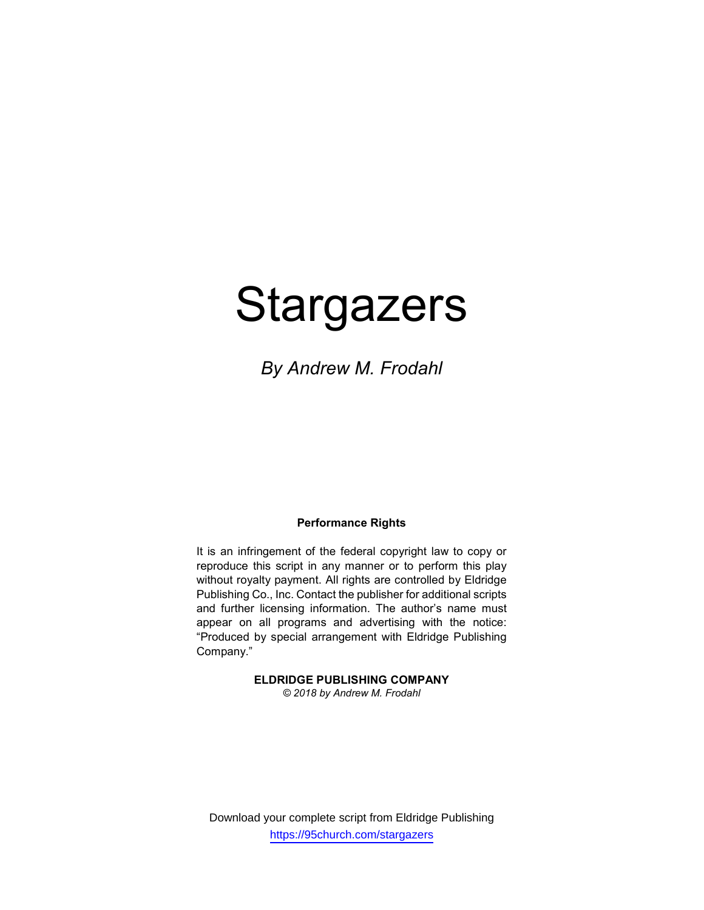# **Stargazers**

By Andrew M. Frodahl

# Performance Rights

It is an infringement of the federal copyright law to copy or reproduce this script in any manner or to perform this play without royalty payment. All rights are controlled by Eldridge Publishing Co., Inc. Contact the publisher for additional scripts and further licensing information. The author's name must appear on all programs and advertising with the notice: "Produced by special arrangement with Eldridge Publishing Company."

ELDRIDGE PUBLISHING COMPANY

© 2018 by Andrew M. Frodahl

Download your complete script from Eldridge Publishing https://95church.com/stargazers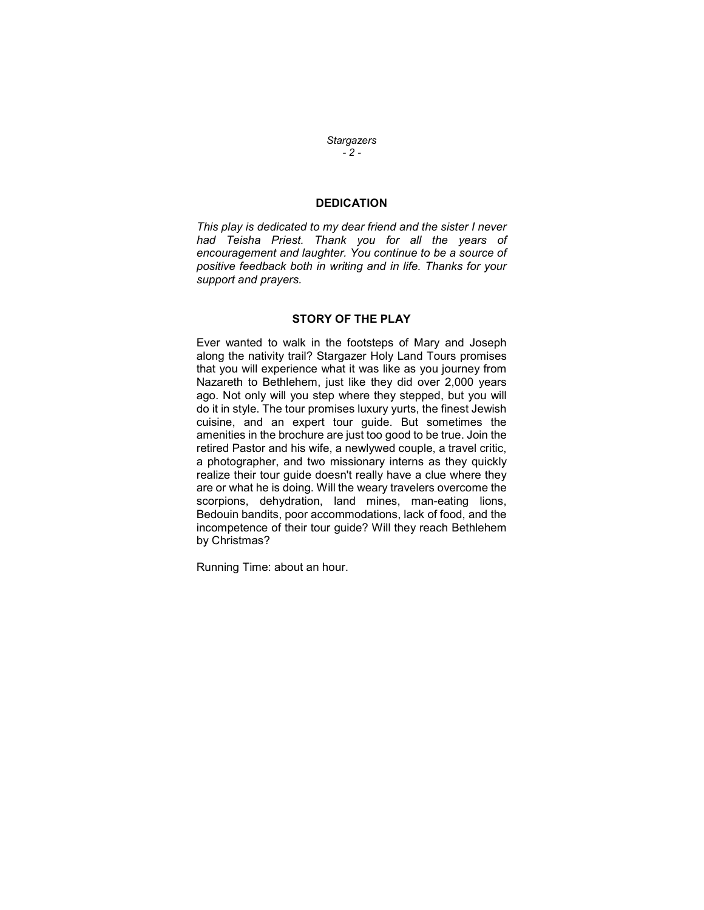**Stargazers**  $-2 -$ 

# **DEDICATION**

This play is dedicated to my dear friend and the sister I never had Teisha Priest. Thank you for all the years of encouragement and laughter. You continue to be a source of positive feedback both in writing and in life. Thanks for your support and prayers.

# STORY OF THE PLAY

Ever wanted to walk in the footsteps of Mary and Joseph along the nativity trail? Stargazer Holy Land Tours promises that you will experience what it was like as you journey from Nazareth to Bethlehem, just like they did over 2,000 years ago. Not only will you step where they stepped, but you will do it in style. The tour promises luxury yurts, the finest Jewish cuisine, and an expert tour guide. But sometimes the amenities in the brochure are just too good to be true. Join the retired Pastor and his wife, a newlywed couple, a travel critic, a photographer, and two missionary interns as they quickly realize their tour guide doesn't really have a clue where they are or what he is doing. Will the weary travelers overcome the scorpions, dehydration, land mines, man-eating lions, Bedouin bandits, poor accommodations, lack of food, and the incompetence of their tour guide? Will they reach Bethlehem by Christmas?

Running Time: about an hour.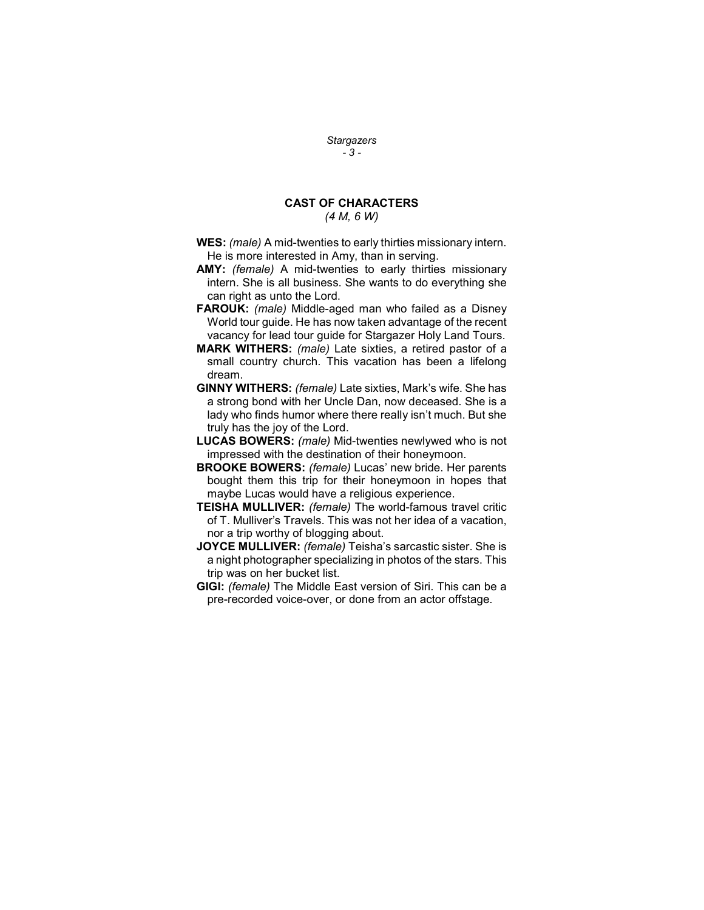# **Stargazers**  $-3 -$

# CAST OF CHARACTERS

(4 M, 6 W)

- WES: *(male)* A mid-twenties to early thirties missionary intern. He is more interested in Amy, than in serving.
- AMY: *(female)* A mid-twenties to early thirties missionary intern. She is all business. She wants to do everything she can right as unto the Lord.
- FAROUK: (male) Middle-aged man who failed as a Disney World tour guide. He has now taken advantage of the recent vacancy for lead tour guide for Stargazer Holy Land Tours.
- MARK WITHERS: (male) Late sixties, a retired pastor of a small country church. This vacation has been a lifelong dream.
- GINNY WITHERS: (female) Late sixties, Mark's wife. She has a strong bond with her Uncle Dan, now deceased. She is a lady who finds humor where there really isn't much. But she truly has the joy of the Lord.
- LUCAS BOWERS: (male) Mid-twenties newlywed who is not impressed with the destination of their honeymoon.
- BROOKE BOWERS: (female) Lucas' new bride. Her parents bought them this trip for their honeymoon in hopes that maybe Lucas would have a religious experience.
- TEISHA MULLIVER: (female) The world-famous travel critic of T. Mulliver's Travels. This was not her idea of a vacation, nor a trip worthy of blogging about.
- JOYCE MULLIVER: (female) Teisha's sarcastic sister. She is a night photographer specializing in photos of the stars. This trip was on her bucket list.
- GIGI: (female) The Middle East version of Siri. This can be a pre-recorded voice-over, or done from an actor offstage.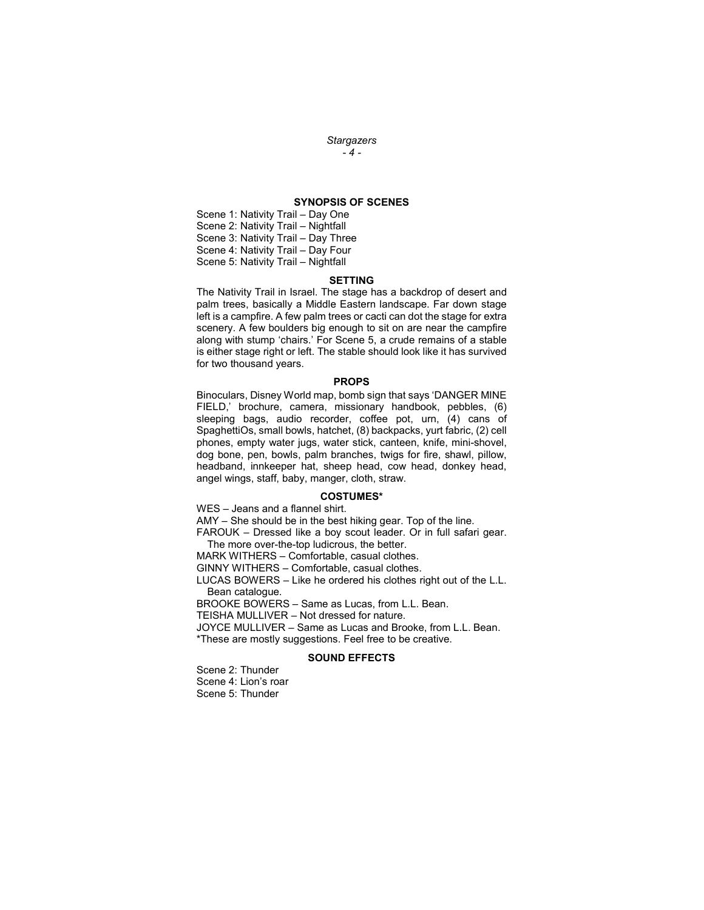#### **Stargazers**  $-4-$

## SYNOPSIS OF SCENES

Scene 1: Nativity Trail – Day One Scene 2: Nativity Trail – Nightfall Scene 3: Nativity Trail – Day Three Scene 4: Nativity Trail – Day Four Scene 5: Nativity Trail – Nightfall

#### SETTING

The Nativity Trail in Israel. The stage has a backdrop of desert and palm trees, basically a Middle Eastern landscape. Far down stage left is a campfire. A few palm trees or cacti can dot the stage for extra scenery. A few boulders big enough to sit on are near the campfire along with stump 'chairs.' For Scene 5, a crude remains of a stable is either stage right or left. The stable should look like it has survived for two thousand years.

#### PROPS

Binoculars, Disney World map, bomb sign that says 'DANGER MINE FIELD,' brochure, camera, missionary handbook, pebbles, (6) sleeping bags, audio recorder, coffee pot, urn, (4) cans of SpaghettiOs, small bowls, hatchet, (8) backpacks, yurt fabric, (2) cell phones, empty water jugs, water stick, canteen, knife, mini-shovel, dog bone, pen, bowls, palm branches, twigs for fire, shawl, pillow, headband, innkeeper hat, sheep head, cow head, donkey head, angel wings, staff, baby, manger, cloth, straw.

#### COSTUMES\*

WES – Jeans and a flannel shirt.

AMY – She should be in the best hiking gear. Top of the line.

FAROUK – Dressed like a boy scout leader. Or in full safari gear. The more over-the-top ludicrous, the better.

MARK WITHERS – Comfortable, casual clothes.

GINNY WITHERS – Comfortable, casual clothes.

LUCAS BOWERS – Like he ordered his clothes right out of the L.L. Bean catalogue.

BROOKE BOWERS – Same as Lucas, from L.L. Bean.

TEISHA MULLIVER – Not dressed for nature.

JOYCE MULLIVER – Same as Lucas and Brooke, from L.L. Bean. \*These are mostly suggestions. Feel free to be creative.

#### SOUND EFFECTS

Scene 2: Thunder Scene 4: Lion's roar Scene 5: Thunder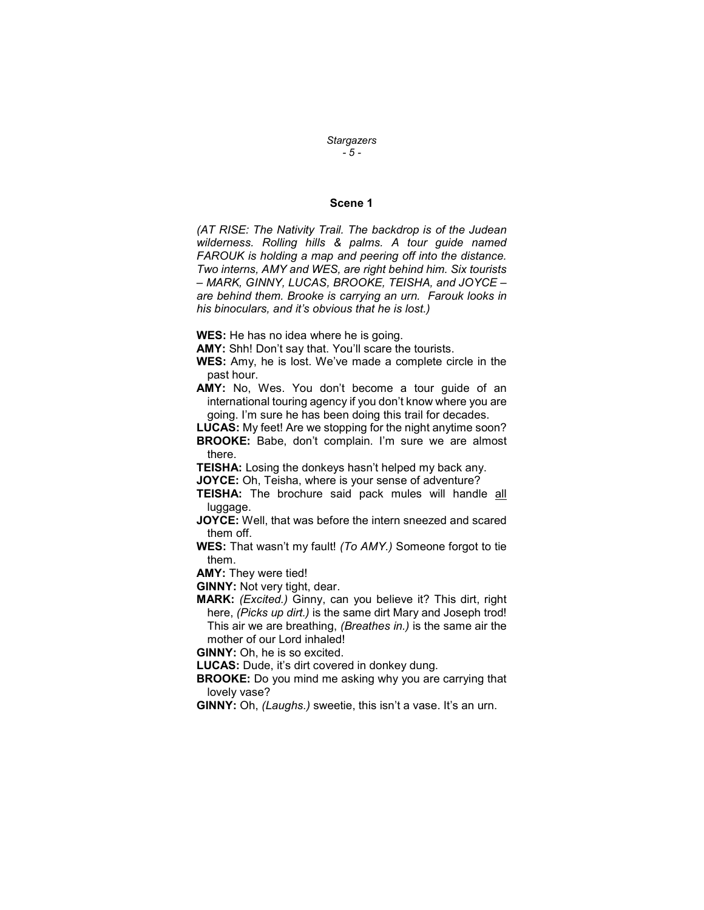**Stargazers** - 5 -

# Scene 1

(AT RISE: The Nativity Trail. The backdrop is of the Judean wilderness. Rolling hills & palms. A tour guide named FAROUK is holding a map and peering off into the distance. Two interns, AMY and WES, are right behind him. Six tourists – MARK, GINNY, LUCAS, BROOKE, TEISHA, and JOYCE – are behind them. Brooke is carrying an urn. Farouk looks in his binoculars, and it's obvious that he is lost.)

WES: He has no idea where he is going.

AMY: Shh! Don't say that. You'll scare the tourists.

WES: Amy, he is lost. We've made a complete circle in the past hour.

AMY: No, Wes. You don't become a tour guide of an international touring agency if you don't know where you are going. I'm sure he has been doing this trail for decades.

LUCAS: My feet! Are we stopping for the night anytime soon? BROOKE: Babe, don't complain. I'm sure we are almost there.

**TEISHA:** Losing the donkeys hasn't helped my back any.

JOYCE: Oh, Teisha, where is your sense of adventure?

TEISHA: The brochure said pack mules will handle all luggage.

JOYCE: Well, that was before the intern sneezed and scared them off.

WES: That wasn't my fault! (To AMY.) Someone forgot to tie them.

AMY: They were tied!

GINNY: Not very tight, dear.

MARK: (Excited.) Ginny, can you believe it? This dirt, right here, (Picks up dirt.) is the same dirt Mary and Joseph trod! This air we are breathing, (Breathes in.) is the same air the mother of our Lord inhaled!

GINNY: Oh, he is so excited.

LUCAS: Dude, it's dirt covered in donkey dung.

- **BROOKE:** Do you mind me asking why you are carrying that lovely vase?
- GINNY: Oh, (Laughs.) sweetie, this isn't a vase. It's an urn.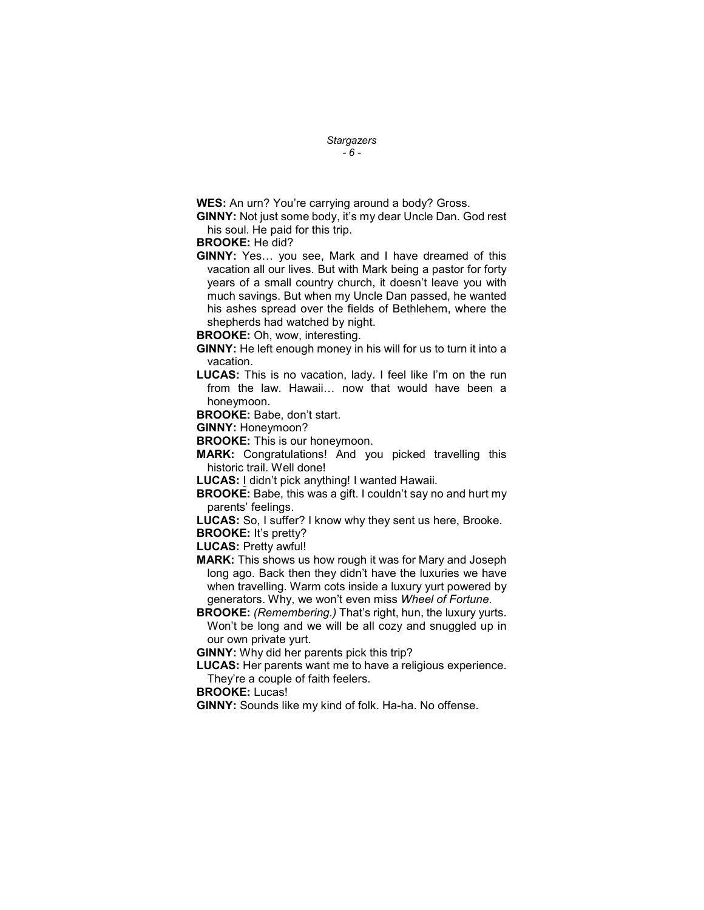#### **Stargazers**  $-6 -$

WES: An urn? You're carrying around a body? Gross.

GINNY: Not just some body, it's my dear Uncle Dan. God rest his soul. He paid for this trip.

### BROOKE: He did?

GINNY: Yes… you see, Mark and I have dreamed of this vacation all our lives. But with Mark being a pastor for forty years of a small country church, it doesn't leave you with much savings. But when my Uncle Dan passed, he wanted his ashes spread over the fields of Bethlehem, where the shepherds had watched by night.

BROOKE: Oh, wow, interesting.

GINNY: He left enough money in his will for us to turn it into a vacation.

LUCAS: This is no vacation, lady. I feel like I'm on the run from the law. Hawaii… now that would have been a honeymoon.

BROOKE: Babe, don't start.

GINNY: Honeymoon?

**BROOKE:** This is our honeymoon.

MARK: Congratulations! And you picked travelling this historic trail. Well done!

LUCAS: I didn't pick anything! I wanted Hawaii.

**BROOKE:** Babe, this was a gift. I couldn't say no and hurt my parents' feelings.

LUCAS: So, I suffer? I know why they sent us here, Brooke.

BROOKE: It's pretty?

LUCAS: Pretty awful!

- MARK: This shows us how rough it was for Mary and Joseph long ago. Back then they didn't have the luxuries we have when travelling. Warm cots inside a luxury yurt powered by generators. Why, we won't even miss Wheel of Fortune.
- **BROOKE:** (Remembering.) That's right, hun, the luxury yurts. Won't be long and we will be all cozy and snuggled up in our own private yurt.

GINNY: Why did her parents pick this trip?

LUCAS: Her parents want me to have a religious experience. They're a couple of faith feelers.

BROOKE: Lucas!

GINNY: Sounds like my kind of folk. Ha-ha. No offense.